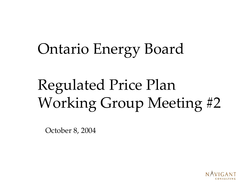# Ontario Energy Board

# Regulated Price Plan Working Group Meeting #2

October 8, 2004

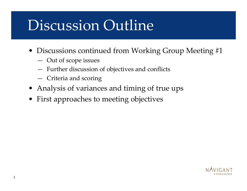# Discussion Outline

- Discussions continued from Working Group Meeting #1
	- Out of scope issues
	- Further discussion of objectives and conflicts
	- Criteria and scoring
- Analysis of variances and timing of true ups
- First approaches to meeting objectives

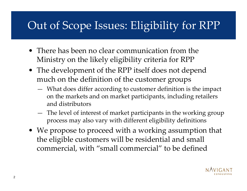#### Out of Scope Issues: Eligibility for RPP

- There has been no clear communication from the Ministry on the likely eligibility criteria for RPP
- The development of the RPP itself does not depend much on the definition of the customer groups
	- What does differ according to customer definition is the impact on the markets and on market participants, including retailers and distributors
	- The level of interest of market participants in the working group pro cess may also vary with different eligibility definitions
- We propose to proceed with a working assumption that the eligible customers will be residential and small commercial, with "small commercial" to be defined

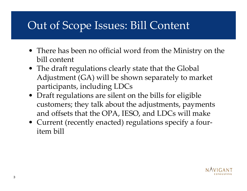#### Out of Scope Issues: Bill Content

- There has been no official word from the Ministry on the bill content
- The draft regulations clearly state that the Global Adjustment (GA) will be shown separately to market participants, including LDCs
- Draft regulations are silent on the bills for eligible customers; they talk about the adjustments, payments and offsets that the OPA, IESO, and LDCs will make
- Current (recently enacted) regulations specify a fouritem bill

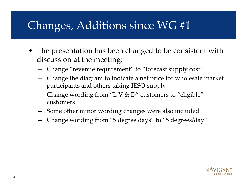#### Changes, Additions since WG #1

- The presentation has been changed to be consistent with discussion at the meeting:
	- Change "revenue requirement" to "forecast supply cost"
	- Change the diagram to indicate a net price for wholesale market participants and others taking IESO supply
	- Change wording from "L V & D" customers to "eligible" customers
	- **All Contracts** Some other minor wording changes were also included
	- **All Contracts** Change wording from "5 degree days" to "5 degrees/day"

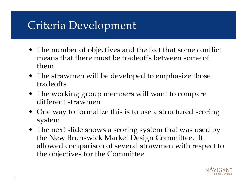#### Criteria Development

- The number of objectives and the fact that some conflict means that there must be tradeoffs between some of them
- The strawmen will be developed to emphasize those tradeoffs
- The working group members will want to compare different strawmen
- One way to formalize this is to use a structured scoring system
- The next slide shows a scoring system that was used by the New Brunswick Market Design Committee. It allowed comparison of several strawmen with respect to the objectives for the Committee

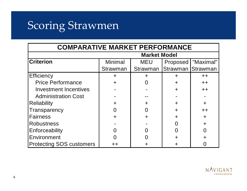#### Scoring Strawmen

| <b>COMPARATIVE MARKET PERFORMANCE</b> |                     |            |                   |           |  |  |  |  |
|---------------------------------------|---------------------|------------|-------------------|-----------|--|--|--|--|
|                                       | <b>Market Model</b> |            |                   |           |  |  |  |  |
| <b>Criterion</b>                      | <b>Minimal</b>      | <b>MEU</b> | Proposed          | "Maximal" |  |  |  |  |
|                                       | <b>Strawman</b>     | Strawman   | Strawman Strawman |           |  |  |  |  |
| Efficiency                            |                     |            |                   | $++$      |  |  |  |  |
| <b>Price Performance</b>              |                     |            |                   | $++$      |  |  |  |  |
| <b>Investment Incentives</b>          |                     |            |                   | $++$      |  |  |  |  |
| <b>Administration Cost</b>            |                     |            |                   |           |  |  |  |  |
| <b>Reliability</b>                    |                     | ╋          |                   |           |  |  |  |  |
| Transparency                          |                     | Ⴖ          |                   | $++$      |  |  |  |  |
| <b>Fairness</b>                       |                     | $\div$     |                   |           |  |  |  |  |
| <b>Robustness</b>                     |                     |            |                   |           |  |  |  |  |
| Enforceability                        |                     |            |                   |           |  |  |  |  |
| Environment                           |                     |            |                   |           |  |  |  |  |
| <b>Protecting SOS customers</b>       |                     |            |                   |           |  |  |  |  |

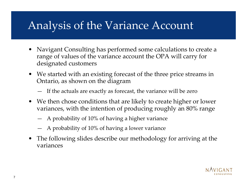#### Analysis of the Variance Account

- •Navigant Consulting has performed some calculations to create a range of values of the variance account the OPA will carry for designated customers
- $\bullet$ We started with an existing forecast of the three price streams in Ontario, as shown on the diagram
	- If the actuals are exactly as forecast, the variance will be zero
- We then chose conditions that are likely to create higher or lower variances, with the intention of producing roughly an 80% range
	- A probability of 10% of having a higher variance
	- —A probability of 10% of having a lower variance
- $\bullet$ The following slides describe our methodology for arriving at the variances

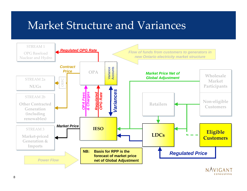#### Market Structure and Variances

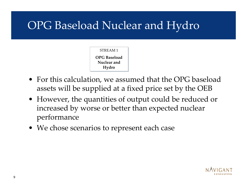#### OPG Baseload Nuclear and Hydro

#### STREAM 1 **OPG Bas eload OPG BaseloadNuclear and Hydr oHyd r o**

- For this calculation, we assumed that the OPG baseload assets will be supplied at a fixed price set by the OEB
- However, the quantities of output could be reduced or increased by worse or better than expected nuclear performance
- We chose scenarios to represent each case

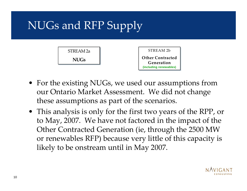# NUGs and RFP Supply



- For the existing NUGs, we used our assumptions from our Ontario Market Assessment. We did not change these assumptions as part of the scenarios.
- This analysis is only for the first two years of the RPP, or to May, 2007. We have not factored in the impact of the Other Contracted Generation (ie, through the 2500 MW or renewables RFP) because very little of this capacity is likely to be onstream until in May 2007.

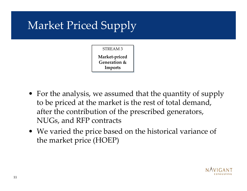# Market Priced Supply

STREAM 3 **Market-p ric e dM a r k et-pric ed Gener ation & Generati on & Imp ort sImp ort s**

- For the analysis, we assumed that the quantity of supply to be priced at the market is the rest of total demand, after the contribution of the prescribed generators, NUGs, and RFP contracts
- We varied the price based on the historical variance of the market price (HOEP)

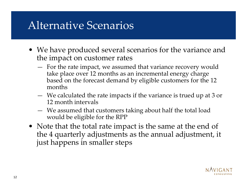#### Alternative Scenarios

- We have produced several scenarios for the variance and the impact on customer rates
	- For the rate impact, we assumed that variance recovery would take place over 12 months as an incremental energy charge based on the forecast demand by eligible customers for the 12 months
	- We calculated the rate impacts if the variance is trued up at 3 or 12 month intervals
	- We assumed that customers taking about half the total load w ould be eligible for the RPP
- Note that the total rate impact is the same at the end of the 4 quarterly adjustments as the annual adjustment, it just happens in smaller steps

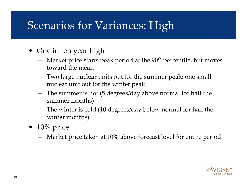#### Scenarios for Variances: High

- One in ten year high
	- Market price starts peak period at the 90th percentile, but moves toward the mean
	- Two large nuclear units out for the summer peak; one small nuclear unit out for the winter peak
	- The summer is hot (5 degrees/day above normal for half the summer months)
	- The winter is cold (10 degrees/day below normal for half the winter months)
- 10% price
	- Market price taken at 10% above forecast level for entire period

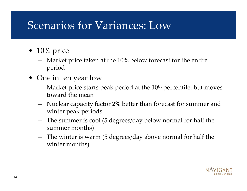#### Scenarios for Variances: Low

- 10% price
	- Market price taken at the 10% below forecast for the entire period
- One in ten year low
	- Market price starts peak period at the 10<sup>th</sup> percentile, but moves toward the mean
	- Nuclear capacity factor 2% better than forecast for summer and winter peak periods
	- The summer is cool (5 degrees/day below normal for half the summer months)
	- The winter is warm (5 degrees/day above normal for half the winter months)

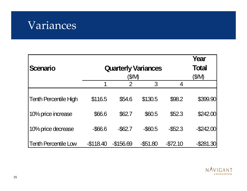

| <b>Scenario</b>              | <b>Quarterly Variances</b> | Year<br><b>Total</b><br>(\$/M) |             |            |              |
|------------------------------|----------------------------|--------------------------------|-------------|------------|--------------|
|                              | 1                          | $\mathcal{P}$                  | 3           | 4          |              |
| <b>Tenth Percentile High</b> | \$116.5                    | \$54.6                         | \$130.5     | \$98.2     | \$399.90     |
| 10% price increase           | \$66.6                     | \$62.7                         | \$60.5      | \$52.3     | \$242.00     |
| 10% price decrease           | $-$ \$66.6                 | $-$ \$62.7                     | $-$ \$60.5  | $-$ \$52.3 | $-$ \$242.00 |
| <b>Tenth Percentile Low</b>  | $-$ \$118.40               | $-$156.69$                     | $-$ \$51.80 | $-572.10$  | $-$ \$281.30 |

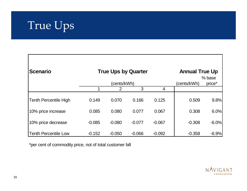

| <b>Scenario</b>              |             | <b>True Ups by Quarter</b> | <b>Annual True Up</b><br>% base |          |             |         |
|------------------------------|-------------|----------------------------|---------------------------------|----------|-------------|---------|
|                              | (cents/kWh) |                            |                                 |          | (cents/kWh) | price*  |
|                              |             | 2                          | 3                               | 4        |             |         |
| <b>Tenth Percentile High</b> | 0.149       | 0.070                      | 0.166                           | 0.125    | 0.509       | 9.8%    |
| 10% price increase           | 0.085       | 0.080                      | 0.077                           | 0.067    | 0.308       | 6.0%    |
| 10% price decrease           | $-0.085$    | $-0.080$                   | $-0.077$                        | $-0.067$ | $-0.308$    | $-6.0%$ |
| <b>Tenth Percentile Low</b>  | $-0.152$    | $-0.050$                   | $-0.066$                        | $-0.092$ | $-0.358$    | $-6.9%$ |

\*per cent of commodity price, not of total customer bill

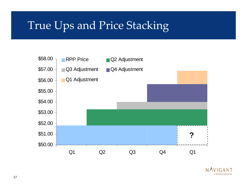#### True Ups and Price Stacking



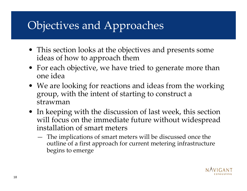## Objectives and Approaches

- This section looks at the objectives and presents some ideas of how to approach them
- For each objective, we have tried to generate more than one idea
- We are looking for reactions and ideas from the working group, with the intent of starting to construct a strawman
- In keeping with the discussion of last week, this section will focus on the immediate future without widespread installation of smart meters
	- The implications of smart meters will be discussed once the outline of a first approach for current metering infrastructure begins to emerge

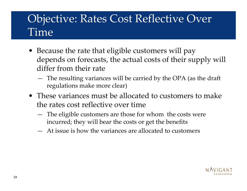#### Objective: Rates Cost Reflective Over Time

- Because the rate that eligible customers will pay depends on forecasts, the actual costs of their supply will differ from their rate
	- The resulting variances will be carried by the OPA (as the draft regulations make more clear)
- These variances must be allocated to customers to make the rates cost reflective over time
	- The eligible customers are those for whom the costs were incurred; they will bear the costs or get the benefits
	- —At issue is how the variances are allocated to customers

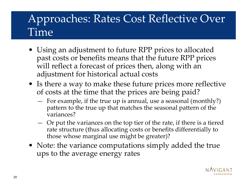#### Approaches: Rates Cost Reflective Over Time

- Using an adjustment to future RPP prices to allocated past costs or benefits means that the future RPP prices will reflect a forecast of prices then, along with an adjustment for historical actual costs
- Is there a way to make these future prices more reflective of costs at the time that the prices are being paid?
	- For example, if the true up is annual, use a seasonal (monthly?) pattern to the true up that matches the seasonal pattern of the variances?
	- Or put the variances on the top tier of the rate, if there is a tiered rate structure (thus allocating costs or benefits differentially to those whose marginal use might be greater)?
- Note: the variance computations simply added the true ups to the average energy rates

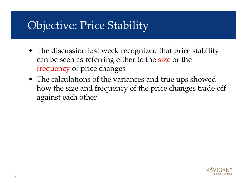#### Objective: Price Stability

- The discussion last week recognized that price stability can be seen as referring either to the size or the frequency of price changes
- The calculations of the variances and true ups showed how the size and frequency of the price changes trade off against each other

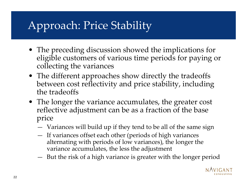# Approach: Price Stability

- The preceding discussion showed the implications for eligible customers of various time periods for paying or collecting the variances
- The different approaches show directly the tradeoffs between cost reflectivity and price stability, including the tradeoffs
- The longer the variance accumulates, the greater cost reflective adjustment can be as a fraction of the base price
	- Variances will build up if they tend to be all of the same sign
	- If variances offset each other (periods of high variances alternating with periods of low variances), the longer the variance accumulates, the less the adjustment
	- **All Contracts** But the risk of a high variance is greater with the longer period

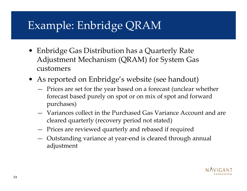### Example: Enbridge QRAM

- Enbridge Gas Distribution has a Quarterly Rate Adjustment Mechanism (QRAM) for System Gas customers
- As reported on Enbridge's website (see handout)
	- Prices are set for the year based on a forecast (unclear whether forecast based purely on spot or on mix of spot and forward purchases)
	- Variances collect in the Purchased Gas Variance Account and are cleared quarterly (recovery period not stated)
	- Prices are reviewed quarterly and rebased if required
	- Outstanding variance at year-end is cleared through annual adjustment

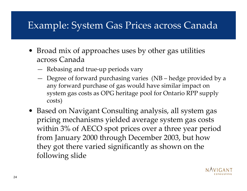#### Example: System Gas Prices across Canada

- Broad mix of approaches uses by other gas utilities across Canada
	- Rebasing and true-up per iods vary
	- Degree of forward purchasing varies (NB hedge provided by a any forward purchase of gas would have similar impact on system gas costs as OPG heritage pool for Ontario RPP supply costs)
- Based on Navigant Consulting analysis, all system gas pricing mechanisms yielded average system gas costs within 3% of AECO spot prices over a three year period from January 2000 through December 2003, but how they got there varied significantly as shown on the following slide

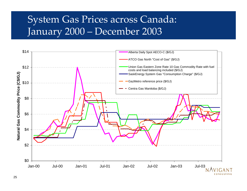#### System Gas Prices across Canada: January 2000 – December 2003

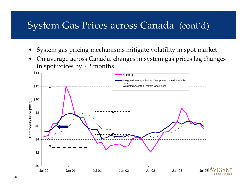#### System Gas Prices across Canada (cont'd)

- •System gas pricing mechanisms mitigate volatility in spot market
- •On average across Canada, changes in system gas prices lag changes in spot prices by  $\sim$  3 months

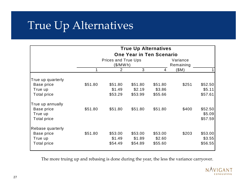#### True Up Alternatives

| <b>True Up Alternatives</b> |                                 |           |         |          |           |         |  |
|-----------------------------|---------------------------------|-----------|---------|----------|-----------|---------|--|
|                             | <b>One Year in Ten Scenario</b> |           |         |          |           |         |  |
|                             | <b>Prices and True Ups</b>      |           |         | Variance |           |         |  |
|                             |                                 | (\$/MW h) |         |          | Remaining |         |  |
|                             |                                 | 2         | 3       | 4        | \$M)      |         |  |
| True up quarterly           |                                 |           |         |          |           |         |  |
| Base price                  | \$51.80                         | \$51.80   | \$51.80 | \$51.80  | \$251     | \$52.50 |  |
| True up                     |                                 | \$1.49    | \$2.19  | \$3.86   |           | \$5.11  |  |
| <b>Total price</b>          |                                 | \$53.29   | \$53.99 | \$55.66  |           | \$57.61 |  |
| True up annually            |                                 |           |         |          |           |         |  |
| Base price                  | \$51.80                         | \$51.80   | \$51.80 | \$51.80  | \$400     | \$52.50 |  |
| True up                     |                                 |           |         |          |           | \$5.09  |  |
| <b>Total price</b>          |                                 |           |         |          |           | \$57.59 |  |
| Rebase quarterly            |                                 |           |         |          |           |         |  |
| Base price                  | \$51.80                         | \$53.00   | \$53.00 | \$53.00  | \$203     | \$53.00 |  |
| True up                     |                                 | \$1.49    | \$1.89  | \$2.60   |           | \$3.55  |  |
| <b>Total price</b>          |                                 | \$54.49   | \$54.89 | \$55.60  |           | \$56.55 |  |

The more truing up and rebasing is done during the year, the less the variance carryover.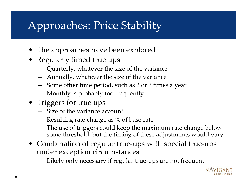# Approaches: Price Stability

- The approaches have been explored
- Regularly timed true ups
	- Quarterly, whatever the size of the variance
	- Annually, whatever the size of the variance
	- **All Contracts** Some other time period, such as 2 or 3 times a year
	- Monthly is probably too frequently
- Triggers for true ups
	- $-$  Size of the variance account
	- Resulting rate change as % of base rate
	- The use of triggers could keep the maximum rate change below some threshold, but the timing of these adjustments would vary
- Combination of regular true-ups with special true-ups under exception circumstances
	- Likely only necessary if regular true-ups are not frequent

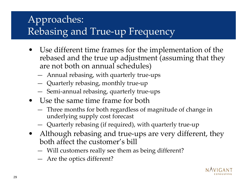#### Approaches: Rebasing and True-up Frequency

- • Use different time frames for the implementation of the rebased and the true up adjustment (assuming that they are not both on annual schedules)
	- **All Contracts** Annual rebasing, with quarterly true-ups
	- **All Contracts** Quarterly rebasing, monthly true-up
	- Semi-annual rebasing, quarterly true-ups
- Use the same time frame for both
	- **All Contracts**  Three months for both regardless of magnitude of change in underlying supply cost forecast
	- **All Contracts** Quarterly rebasing (if required), with quarterly true-up
- Although rebasing and true-ups are very different, they both affect the customer's bill
	- **All Contracts** Will customers really see them as being different?
	- **All Contracts** Are the optics different?

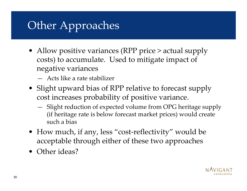## Other Approaches

- Allow positive variances (RPP price > actual supply costs) to accumulate. Used to mitigate impact of negative variances
	- —Acts like a rate stabilizer
- Slight upward bias of RPP relative to forecast supply cost increases probability of positive variance.
	- Slight reduction of expected volume from OPG heritage supply (if heritage rate is below forecast market prices) would create such a bias
- How much, if any, less "cost-reflectivity" would be acceptable through either of these two approaches
- Other ideas?

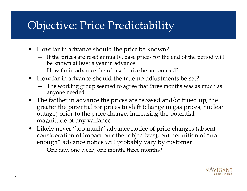#### Objective: Price Predictability

- How far in advance should the price be known?
	- If the prices are reset annually, base prices for the end of the period will be known at least a year in advance
	- How far in advance the rebased price be announced?
- How far in advance should the true up adjustments be set?
	- The working group seemed to agree that three months was as much as anyone needed
- The farther in advance the prices are rebased and/or trued up, the greater the potential for prices to shift (change in gas prices, nuclear outage) prior to the price change, increasing the potential magnitude of any variance
- •Likely never "too much" advance notice of price changes (absent consideration of impact on other objectives), but definition of "not enough" advance notice will probably vary by customer
	- One day, one week, one month, three months?

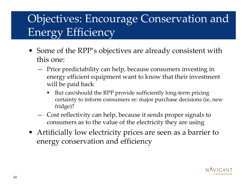### Objectives: Encourage Conservation and Energy Efficiency

- Some of the RPP's objectives are already consistent with this one:
	- Price predictability can help, because consumers investing in energy efficient equipment want to know that their investment will be paid back
		- But can/should the RPP provide sufficiently long-term pricing certainty to inform consumers re: major purchase decisions (ie, new fridge)?
	- Cost reflectivity can help, because it sends proper signals to consumers as to the value of the electricity they are using
- Artificially low electricity prices are seen as a barrier to energy conservation and efficiency

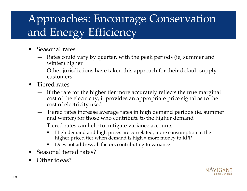## Approaches: Encourage Conservation and Energy Efficiency

- •Seasonal rates
	- Rates could vary by quarter, with the peak periods (ie, summer and winter) higher
	- — Other jurisdictions have taken this approach for their default supply customers
- Tiered rates
	- If the rate for the higher tier more accurately reflects the true marginal cost of the electricity, it provides an appropriate price signal as to the cost of electricity used
	- —Tiered rates increase average rates in high demand periods (ie, summer and winter) for those who contribute to the higher demand
	- Tiered rates can help to mitigate variance accounts
		- High demand and high prices are correlated; more consumption in the higher priced tier when demand is high = more money to RPP
		- Does not address all factors contributing to variance
- •Seasonal tiered rates?
- •Other ideas?

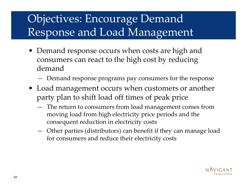## Objectives: Encourage Demand Response and Load Management

- Demand response occurs when costs are high and consumers can react to the high cost by reducing demand
	- Demand response programs pay consumers for the response
- Load management occurs when customers or another party plan to shift load off times of peak price
	- The return to consumers from load management comes from moving load from high electricity price periods and the consequent reduction in electricity costs
	- Other parties (distributors) can benefit if they can manage load for consumers and reduce their electricity costs

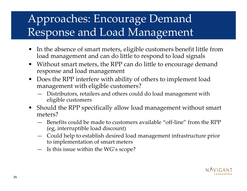#### Approaches: Encourage Demand Response and Load Management

- $\bullet$ In the absence of smart meters, eligible customers benefit little from load management and can do little to respond to load signals
- •Without smart meters, the RPP can do little to encourage demand response and load management
- Does the RPP interfere with ability of others to implement load management with eligible customers?
	- —Distributors, retailers and others could do load management with eligible customers
- Should the RPP specifically allow load management without smart meters?
	- $-$  Benefits could be made to customers available "off-line" from the RPP (eg, interruptible load discount)
	- Could help to establish desired load management infrastructure prior to implementation of smart meters
	- Is this issue within the WG's scope?

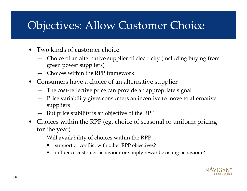#### Objectives: Allow Customer Choice

- •Two kinds of customer choice:
	- —Choice of an alternative supplier of electricity (including buying from green power suppliers)
	- —Choices within the RPP framework
- Consumers have a choice of an alternative supplier
	- The cost-reflective price can provide an appropriate signal
	- Price variability gives consumers an incentive to move to alternative suppliers
	- But price stability is an objective of the RPP
- Choices within the RPP (eg, choice of seasonal or uniform pricing for the year)
	- Will availability of choices within the RPP…
		- support or conflict with other RPP objectives?
		- $\blacksquare$ **I** influence customer behaviour or simply reward existing behaviour?

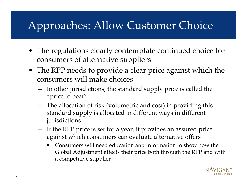# Approaches: Allow Customer Choice

- The regulations clearly contemplate continued choice for consumers of alternative suppliers
- The RPP needs to provide a clear price against which the consumers will make choices
	- In other jurisdictions, the standard supply price is called the "price to beat"
	- The allocation of risk (volumetric and cost) in providing this standard supply is allocated in different ways in different jurisdictions
	- If the RPP price is set for a year, it provides an assured price against which consumers can evaluate alternative offers
		- $\blacksquare$  Consumers will need education and information to show how the Global Adjustment affects their price both through the RPP and with a competitive supplie r

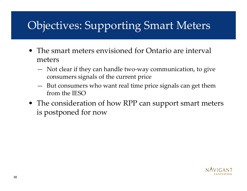#### Objectives: Supporting Smart Meters

- The smart meters envisioned for Ontario are interval meters
	- Not clear if they can handle two-way communication, to give consumers signals of the current price
	- But consumers who want real time price signals can get them from the IESO
- The consideration of how RPP can support smart meters is postponed for now

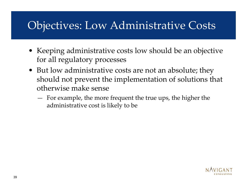#### Objectives: Low Administrative Costs

- Keeping administrative costs low should be an objective for all regulatory processes
- But low administrative costs are not an absolute; they should not prevent the implementation of solutions that otherwise make sense
	- For example, the more frequent the true ups, the higher the administrative cost is likely to be